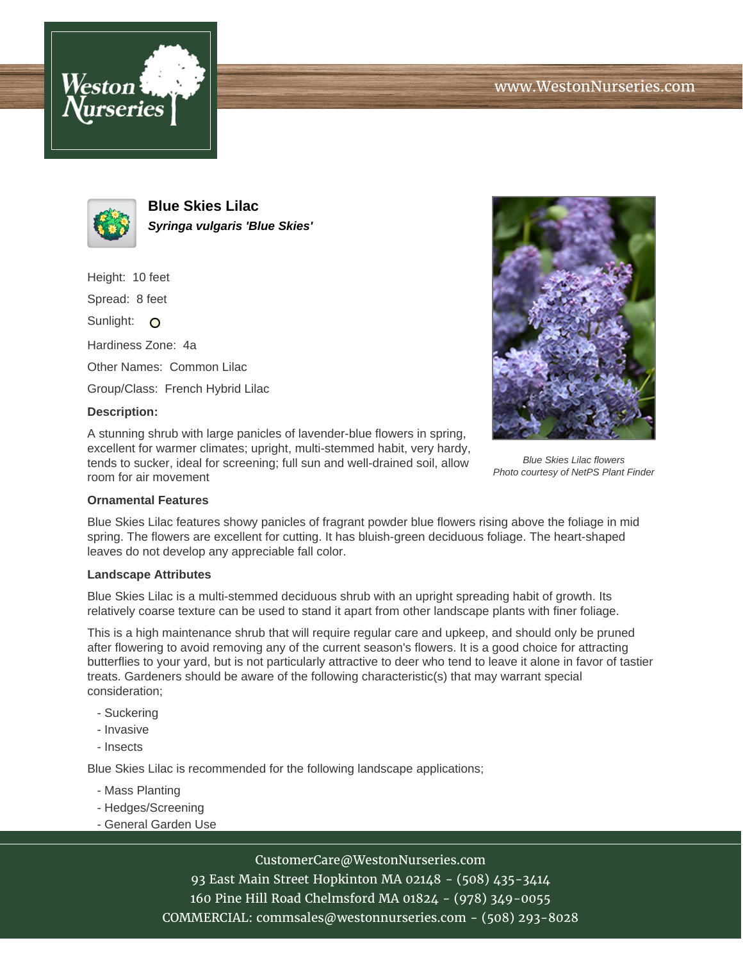



**Blue Skies Lilac Syringa vulgaris 'Blue Skies'**

Height: 10 feet

Spread: 8 feet

Sunlight: O

Hardiness Zone: 4a

Other Names: Common Lilac

Group/Class: French Hybrid Lilac

### **Description:**

A stunning shrub with large panicles of lavender-blue flowers in spring, excellent for warmer climates; upright, multi-stemmed habit, very hardy, tends to sucker, ideal for screening; full sun and well-drained soil, allow room for air movement



Blue Skies Lilac flowers Photo courtesy of NetPS Plant Finder

### **Ornamental Features**

Blue Skies Lilac features showy panicles of fragrant powder blue flowers rising above the foliage in mid spring. The flowers are excellent for cutting. It has bluish-green deciduous foliage. The heart-shaped leaves do not develop any appreciable fall color.

### **Landscape Attributes**

Blue Skies Lilac is a multi-stemmed deciduous shrub with an upright spreading habit of growth. Its relatively coarse texture can be used to stand it apart from other landscape plants with finer foliage.

This is a high maintenance shrub that will require regular care and upkeep, and should only be pruned after flowering to avoid removing any of the current season's flowers. It is a good choice for attracting butterflies to your yard, but is not particularly attractive to deer who tend to leave it alone in favor of tastier treats. Gardeners should be aware of the following characteristic(s) that may warrant special consideration;

- Suckering
- Invasive
- Insects

Blue Skies Lilac is recommended for the following landscape applications;

- Mass Planting
- Hedges/Screening
- General Garden Use

# CustomerCare@WestonNurseries.com

93 East Main Street Hopkinton MA 02148 - (508) 435-3414 160 Pine Hill Road Chelmsford MA 01824 - (978) 349-0055 COMMERCIAL: commsales@westonnurseries.com - (508) 293-8028